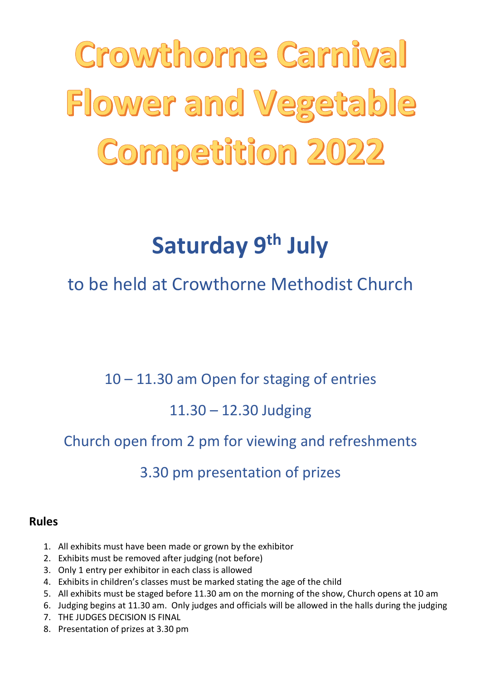Crowthorne Carnival Flower and Vegetable **Competition 2022** 

# Saturday 9<sup>th</sup> July

## to be held at Crowthorne Methodist Church

10 – 11.30 am Open for staging of entries

## 11.30 – 12.30 Judging

## Church open from 2 pm for viewing and refreshments

## 3.30 pm presentation of prizes

#### Rules

- 1. All exhibits must have been made or grown by the exhibitor
- 2. Exhibits must be removed after judging (not before)
- 3. Only 1 entry per exhibitor in each class is allowed
- 4. Exhibits in children's classes must be marked stating the age of the child
- 5. All exhibits must be staged before 11.30 am on the morning of the show, Church opens at 10 am
- 6. Judging begins at 11.30 am. Only judges and officials will be allowed in the halls during the judging
- 7. THE JUDGES DECISION IS FINAL
- 8. Presentation of prizes at 3.30 pm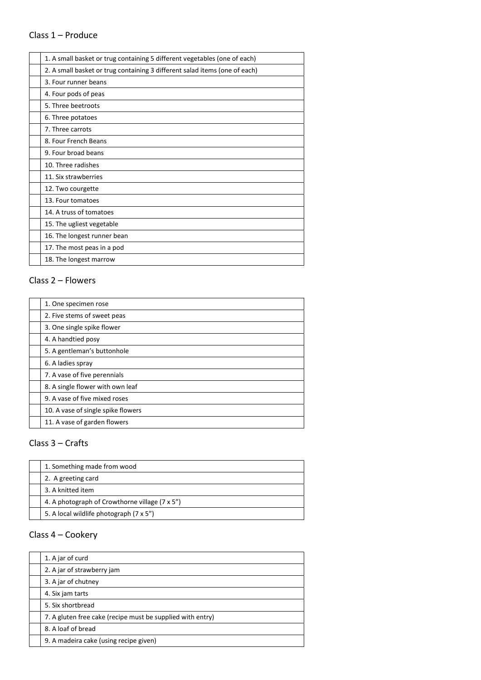#### Class 1 – Produce

| 1. A small basket or trug containing 5 different vegetables (one of each)  |
|----------------------------------------------------------------------------|
| 2. A small basket or trug containing 3 different salad items (one of each) |
| 3. Four runner beans                                                       |
| 4. Four pods of peas                                                       |
| 5. Three beetroots                                                         |
| 6. Three potatoes                                                          |
| 7. Three carrots                                                           |
| 8. Four French Beans                                                       |
| 9. Four broad beans                                                        |
| 10. Three radishes                                                         |
| 11. Six strawberries                                                       |
| 12. Two courgette                                                          |
| 13. Four tomatoes                                                          |
| 14. A truss of tomatoes                                                    |
| 15. The ugliest vegetable                                                  |
| 16. The longest runner bean                                                |
| 17. The most peas in a pod                                                 |
| 18. The longest marrow                                                     |
|                                                                            |

#### Class 2 – Flowers

| 1. One specimen rose               |
|------------------------------------|
| 2. Five stems of sweet peas        |
| 3. One single spike flower         |
| 4. A handtied posy                 |
| 5. A gentleman's buttonhole        |
| 6. A ladies spray                  |
| 7. A vase of five perennials       |
| 8. A single flower with own leaf   |
| 9. A vase of five mixed roses      |
| 10. A vase of single spike flowers |
| 11. A vase of garden flowers       |

#### Class 3 – Crafts

| 1. Something made from wood                    |
|------------------------------------------------|
| 2. A greeting card                             |
| 3. A knitted item                              |
| 4. A photograph of Crowthorne village (7 x 5") |
| 5. A local wildlife photograph (7 x 5")        |

#### Class 4 – Cookery

| 1. A jar of curd                                           |
|------------------------------------------------------------|
| 2. A jar of strawberry jam                                 |
| 3. A jar of chutney                                        |
| 4. Six jam tarts                                           |
| 5. Six shortbread                                          |
| 7. A gluten free cake (recipe must be supplied with entry) |
| 8. A loaf of bread                                         |
| 9. A madeira cake (using recipe given)                     |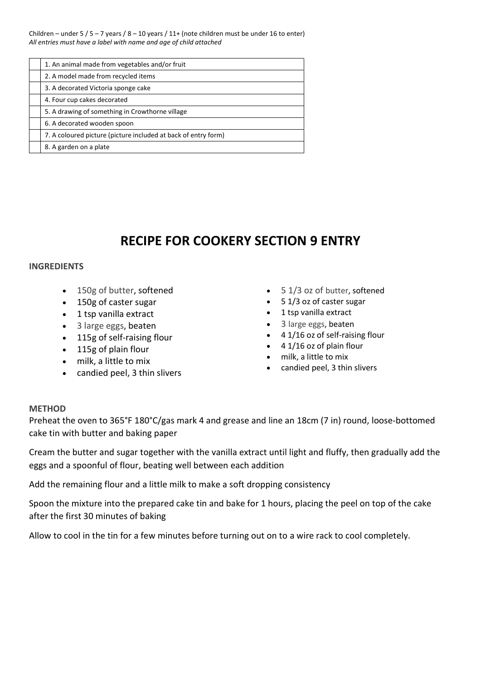Children – under 5 / 5 – 7 years / 8 – 10 years / 11+ (note children must be under 16 to enter) All entries must have a label with name and age of child attached

| 1. An animal made from vegetables and/or fruit                 |
|----------------------------------------------------------------|
| 2. A model made from recycled items                            |
| 3. A decorated Victoria sponge cake                            |
| 4. Four cup cakes decorated                                    |
| 5. A drawing of something in Crowthorne village                |
| 6. A decorated wooden spoon                                    |
| 7. A coloured picture (picture included at back of entry form) |
| 8. A garden on a plate                                         |

### RECIPE FOR COOKERY SECTION 9 ENTRY

#### INGREDIENTS

- 150g of butter, softened
- 150g of caster sugar
- 1 tsp vanilla extract
- 3 large eggs, beaten
- 115g of self-raising flour
- 115g of plain flour
- milk, a little to mix
- candied peel, 3 thin slivers
- 5 1/3 oz of butter, softened
- 5 1/3 oz of caster sugar
- 1 tsp vanilla extract
- 3 large eggs, beaten
- 4 1/16 oz of self-raising flour
- $\bullet$  4 1/16 oz of plain flour
- milk, a little to mix
- candied peel, 3 thin slivers

#### METHOD

Preheat the oven to 365°F 180°C/gas mark 4 and grease and line an 18cm (7 in) round, loose-bottomed cake tin with butter and baking paper

Cream the butter and sugar together with the vanilla extract until light and fluffy, then gradually add the eggs and a spoonful of flour, beating well between each addition

Add the remaining flour and a little milk to make a soft dropping consistency

Spoon the mixture into the prepared cake tin and bake for 1 hours, placing the peel on top of the cake after the first 30 minutes of baking

Allow to cool in the tin for a few minutes before turning out on to a wire rack to cool completely.